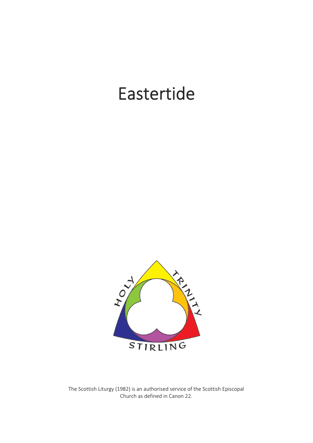# Eastertide



The Scottish Liturgy (1982) is an authorised service of the Scottish Episcopal Church as defined in Canon 22.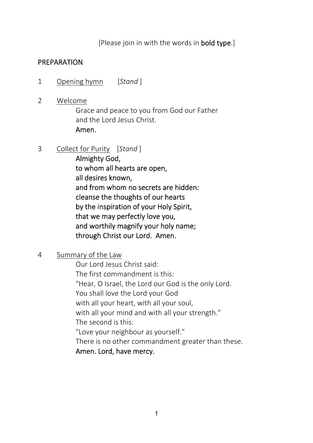[Please join in with the words in bold type.]

# PREPARATION

- 1 Opening hymn [*Stand* ]
- 2 Welcome

Grace and peace to you from God our Father and the Lord Jesus Christ. Amen.

3 Collect for Purity [*Stand* ]

 Almighty God, to whom all hearts are open, all desires known, and from whom no secrets are hidden: cleanse the thoughts of our hearts by the inspiration of your Holy Spirit, that we may perfectly love you, and worthily magnify your holy name; through Christ our Lord. Amen.

#### 4 Summary of the Law

 Our Lord Jesus Christ said: The first commandment is this: "Hear, O Israel, the Lord our God is the only Lord. You shall love the Lord your God with all your heart, with all your soul, with all your mind and with all your strength." The second is this: "Love your neighbour as yourself." There is no other commandment greater than these. Amen. Lord, have mercy.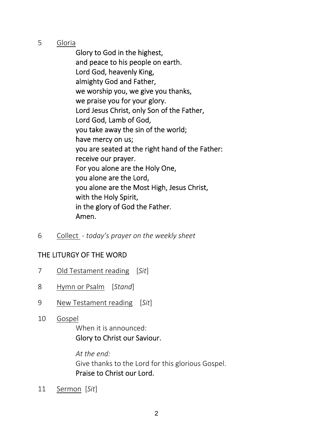# 5 Gloria

Glory to God in the highest, and peace to his people on earth. Lord God, heavenly King, almighty God and Father, we worship you, we give you thanks, we praise you for your glory. Lord Jesus Christ, only Son of the Father, Lord God, Lamb of God, you take away the sin of the world; have mercy on us; you are seated at the right hand of the Father: receive our prayer. For you alone are the Holy One, you alone are the Lord, you alone are the Most High, Jesus Christ, with the Holy Spirit, in the glory of God the Father. Amen.

6 Collect ‐ *today's prayer on the weekly sheet*

# THE LITURGY OF THE WORD

- 7 Old Testament reading [*Sit*]
- 8 Hymn or Psalm [*Stand*]
- 9 New Testament reading [*Sit*]
- 10 Gospel

 When it is announced: Glory to Christ our Saviour.

 *At the end:*  Give thanks to the Lord for this glorious Gospel. Praise to Christ our Lord.

11 Sermon [*Sit*]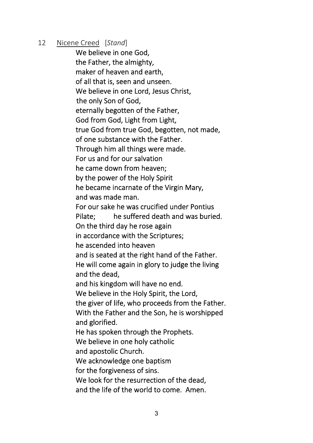# 12 Nicene Creed [*Stand*]

 We believe in one God, the Father, the almighty, maker of heaven and earth, of all that is, seen and unseen. We believe in one Lord, Jesus Christ, the only Son of God, eternally begotten of the Father, God from God, Light from Light, true God from true God, begotten, not made, of one substance with the Father. Through him all things were made. For us and for our salvation he came down from heaven; by the power of the Holy Spirit he became incarnate of the Virgin Mary, and was made man. For our sake he was crucified under Pontius Pilate; he suffered death and was buried. On the third day he rose again in accordance with the Scriptures; he ascended into heaven and is seated at the right hand of the Father. He will come again in glory to judge the living and the dead, and his kingdom will have no end. We believe in the Holy Spirit, the Lord, the giver of life, who proceeds from the Father. With the Father and the Son, he is worshipped and glorified. He has spoken through the Prophets. We believe in one holy catholic and apostolic Church. We acknowledge one baptism for the forgiveness of sins. We look for the resurrection of the dead,

and the life of the world to come. Amen.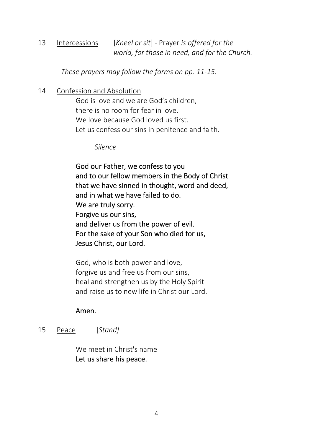# 13 Intercessions [*Kneel or sit*] ‐ Prayer *is offered for the world, for those in need, and for the Church.*

 *These prayers may follow the forms on pp. 11‐15.* 

# 14 Confession and Absolution

God is love and we are God's children, there is no room for fear in love. We love because God loved us first. Let us confess our sins in penitence and faith.

*Silence*

God our Father, we confess to you and to our fellow members in the Body of Christ that we have sinned in thought, word and deed, and in what we have failed to do. We are truly sorry. Forgive us our sins, and deliver us from the power of evil. For the sake of your Son who died for us, Jesus Christ, our Lord.

 God, who is both power and love, forgive us and free us from our sins, heal and strengthen us by the Holy Spirit and raise us to new life in Christ our Lord.

# Amen.

15 Peace [*Stand]*

We meet in Christ's name Let us share his peace.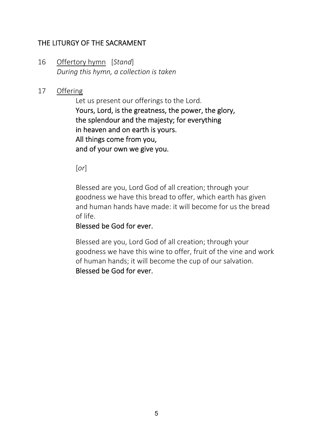# THE LITURGY OF THE SACRAMENT

16 Offertory hymn [*Stand*] *During this hymn, a collection is taken* 

# 17 Offering

 Let us present our offerings to the Lord. Yours, Lord, is the greatness, the power, the glory, the splendour and the majesty; for everything in heaven and on earth is yours. All things come from you, and of your own we give you.

# [*or*]

Blessed are you, Lord God of all creation; through your goodness we have this bread to offer, which earth has given and human hands have made: it will become for us the bread of life.

# Blessed be God for ever.

 Blessed are you, Lord God of all creation; through your goodness we have this wine to offer, fruit of the vine and work of human hands; it will become the cup of our salvation. Blessed be God for ever.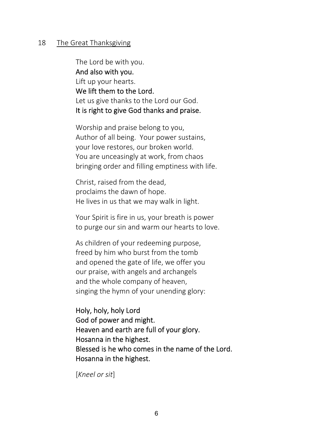#### 18 The Great Thanksgiving

 The Lord be with you. And also with you. Lift up your hearts. We lift them to the Lord. Let us give thanks to the Lord our God. It is right to give God thanks and praise.

 Worship and praise belong to you, Author of all being. Your power sustains, your love restores, our broken world. You are unceasingly at work, from chaos bringing order and filling emptiness with life.

Christ, raised from the dead, proclaims the dawn of hope. He lives in us that we may walk in light.

Your Spirit is fire in us, your breath is power to purge our sin and warm our hearts to love.

As children of your redeeming purpose, freed by him who burst from the tomb and opened the gate of life, we offer you our praise, with angels and archangels and the whole company of heaven, singing the hymn of your unending glory:

 Holy, holy, holy Lord God of power and might. Heaven and earth are full of your glory. Hosanna in the highest. Blessed is he who comes in the name of the Lord. **Hosanna in the highest.** 

[*Kneel or sit*]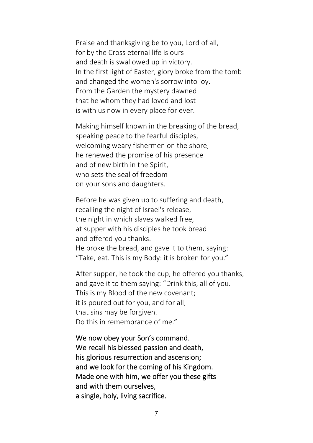Praise and thanksgiving be to you, Lord of all, for by the Cross eternal life is ours and death is swallowed up in victory. In the first light of Easter, glory broke from the tomb and changed the women's sorrow into joy. From the Garden the mystery dawned that he whom they had loved and lost is with us now in every place for ever.

 Making himself known in the breaking of the bread,  speaking peace to the fearful disciples, welcoming weary fishermen on the shore, he renewed the promise of his presence and of new birth in the Spirit, who sets the seal of freedom on your sons and daughters.

Before he was given up to suffering and death, recalling the night of Israel's release, the night in which slaves walked free, at supper with his disciples he took bread and offered you thanks. He broke the bread, and gave it to them, saying: "Take, eat. This is my Body: it is broken for you."

 After supper, he took the cup, he offered you thanks, and gave it to them saying: "Drink this, all of you. This is my Blood of the new covenant; it is poured out for you, and for all, that sins may be forgiven. Do this in remembrance of me"

 We now obey your Son's command. We recall his blessed passion and death, his glorious resurrection and ascension; and we look for the coming of his Kingdom. Made one with him, we offer you these gifts and with them ourselves, a single, holy, living sacrifice.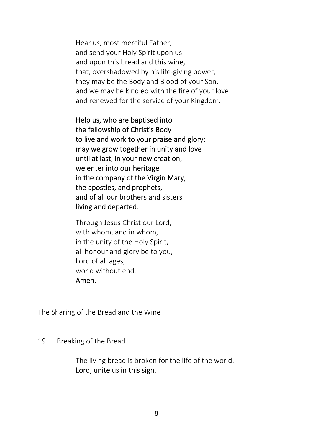Hear us, most merciful Father, and send your Holy Spirit upon us and upon this bread and this wine, that, overshadowed by his life‐giving power, they may be the Body and Blood of your Son, and we may be kindled with the fire of your love and renewed for the service of your Kingdom.

 Help us, who are baptised into the fellowship of Christ's Body to live and work to your praise and glory; may we grow together in unity and love until at last, in your new creation, we enter into our heritage in the company of the Virgin Mary, the apostles, and prophets, and of all our brothers and sisters living and departed.

 Through Jesus Christ our Lord, with whom, and in whom, in the unity of the Holy Spirit, all honour and glory be to you, Lord of all ages, world without end. Amen.

#### The Sharing of the Bread and the Wine

#### 19 Breaking of the Bread

 The living bread is broken for the life of the world. Lord, unite us in this sign.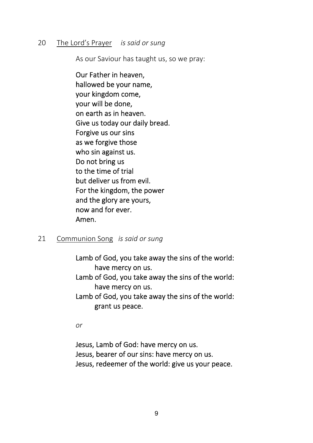## 20 The Lord's Prayer *is said or sung*

As our Saviour has taught us, so we pray:

 Our Father in heaven, hallowed be your name, your kingdom come, your will be done, on earth as in heaven. Give us today our daily bread. Forgive us our sins as we forgive those who sin against us. Do not bring us to the time of trial but deliver us from evil. For the kingdom, the power and the glory are yours, now and for ever. Amen.

# 21 Communion Song *is said or sung*

 Lamb of God, you take away the sins of the world: have mercy on us.

 Lamb of God, you take away the sins of the world: have mercy on us.

 Lamb of God, you take away the sins of the world: grant us peace.

 *or* 

 Jesus, Lamb of God: have mercy on us. Jesus, bearer of our sins: have mercy on us. Jesus, redeemer of the world: give us your peace.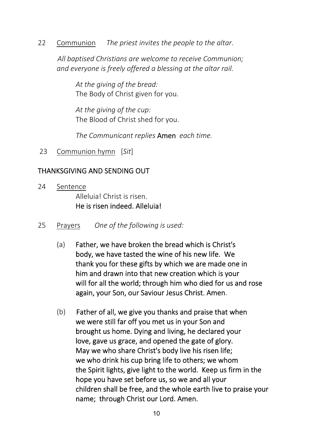22 Communion *The priest invites the people to the altar*.

 *All baptised Christians are welcome to receive Communion; and everyone is freely offered a blessing at the altar rail.* 

 *At the giving of the bread:*  The Body of Christ given for you.

 *At the giving of the cup:*  The Blood of Christ shed for you.

*The Communicant replies* Amen *each time.* 

23 Communion hymn [*Sit*]

# THANKSGIVING AND SENDING OUT

- 24 Sentence Alleluia! Christ is risen. **He is risen indeed. Alleluia!**
- 25 Prayers *One of the following is used:*
	- (a) Father, we have broken the bread which is Christ's body, we have tasted the wine of his new life. We thank you for these gifts by which we are made one in him and drawn into that new creation which is your will for all the world; through him who died for us and rose again, your Son, our Saviour Jesus Christ. Amen.
	- (b) Father of all, we give you thanks and praise that when we were still far off you met us in your Son and brought us home. Dying and living, he declared your love, gave us grace, and opened the gate of glory. May we who share Christ's body live his risen life; we who drink his cup bring life to others; we whom the Spirit lights, give light to the world. Keep us firm in the hope you have set before us, so we and all your children shall be free, and the whole earth live to praise your name; through Christ our Lord. Amen.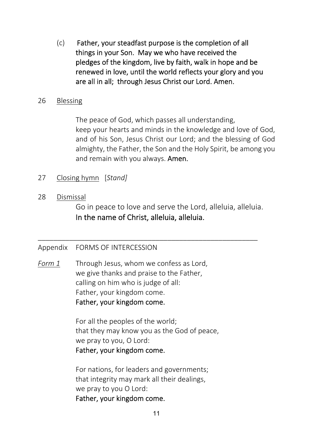(c) Father, your steadfast purpose is the completion of all things in your Son. May we who have received the pledges of the kingdom, live by faith, walk in hope and be renewed in love, until the world reflects your glory and you are all in all; through Jesus Christ our Lord. Amen.

# 26 Blessing

The peace of God, which passes all understanding, keep your hearts and minds in the knowledge and love of God, and of his Son, Jesus Christ our Lord; and the blessing of God almighty, the Father, the Son and the Holy Spirit, be among you and remain with you always. Amen.

27 Closing hymn [*Stand]*

## 28 Dismissal

Go in peace to love and serve the Lord, alleluia, alleluia. In the name of Christ, alleluia, alleluia.

#### Appendix FORMS OF INTERCESSION

*Form 1* Through Jesus, whom we confess as Lord, we give thanks and praise to the Father, calling on him who is judge of all: Father, your kingdom come. Father, your kingdom come.

> For all the peoples of the world; that they may know you as the God of peace, we pray to you, O Lord: Father, your kingdom come.

\_\_\_\_\_\_\_\_\_\_\_\_\_\_\_\_\_\_\_\_\_\_\_\_\_\_\_\_\_\_\_\_\_\_\_\_\_\_\_\_\_\_\_\_\_\_\_\_\_\_\_\_\_\_\_\_

 For nations, for leaders and governments; that integrity may mark all their dealings, we pray to you O Lord: Father, your kingdom come.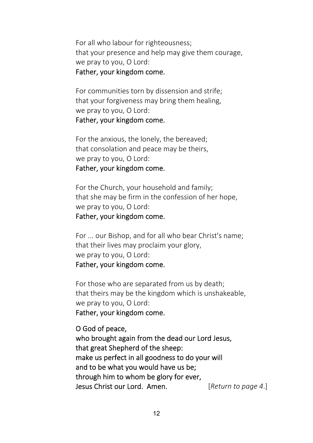For all who labour for righteousness; that your presence and help may give them courage, we pray to you, O Lord:

#### Father, your kingdom come.

 For communities torn by dissension and strife; that your forgiveness may bring them healing, we pray to you, O Lord: Father, your kingdom come.

For the anxious, the lonely, the bereaved; that consolation and peace may be theirs, we pray to you, O Lord: Father, your kingdom come.

 For the Church, your household and family; that she may be firm in the confession of her hope, we pray to you, O Lord: Father, your kingdom come.

 For ... our Bishop, and for all who bear Christ's name; that their lives may proclaim your glory, we pray to you, O Lord: Father, your kingdom come.

 For those who are separated from us by death; that theirs may be the kingdom which is unshakeable, we pray to you, O Lord:

Father, your kingdom come.

O God of peace, who brought again from the dead our Lord Jesus, that great Shepherd of the sheep: make us perfect in all goodness to do your will and to be what you would have us be; through him to whom be glory for ever, Jesus Christ our Lord. Amen. [*Return to page 4*.]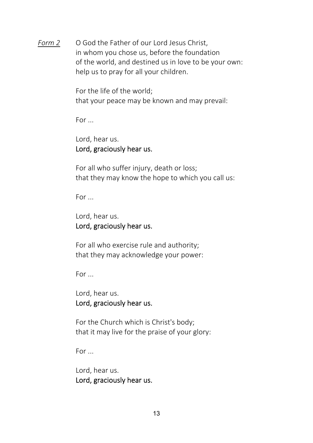Form 2 O God the Father of our Lord Jesus Christ, in whom you chose us, before the foundation of the world, and destined us in love to be your own: help us to pray for all your children.

> For the life of the world; that your peace may be known and may prevail:

 $For$ 

 Lord, hear us. Lord, graciously hear us.

 For all who suffer injury, death or loss; that they may know the hope to which you call us:

For ...

 Lord, hear us. Lord, graciously hear us.

 For all who exercise rule and authority; that they may acknowledge your power:

For ...

Lord, hear us. Lord, graciously hear us.

 For the Church which is Christ's body; that it may live for the praise of your glory:

For ...

 Lord, hear us. Lord, graciously hear us.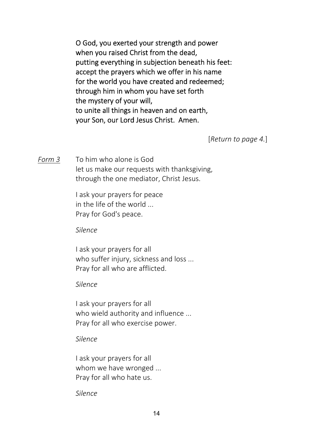O God, you exerted your strength and power when you raised Christ from the dead, putting everything in subjection beneath his feet: accept the prayers which we offer in his name for the world you have created and redeemed; through him in whom you have set forth the mystery of your will, to unite all things in heaven and on earth, your Son, our Lord Jesus Christ. Amen.

[*Return to page 4.*]

*Form 3* To him who alone is God let us make our requests with thanksgiving, through the one mediator, Christ Jesus.

> I ask your prayers for peace in the life of the world ... Pray for God's peace.

 *Silence* 

 I ask your prayers for all who suffer injury, sickness and loss ... Pray for all who are afflicted.

*Silence* 

 I ask your prayers for all who wield authority and influence ... Pray for all who exercise power.

#### *Silence*

 I ask your prayers for all whom we have wronged ... Pray for all who hate us.

 *Silence*